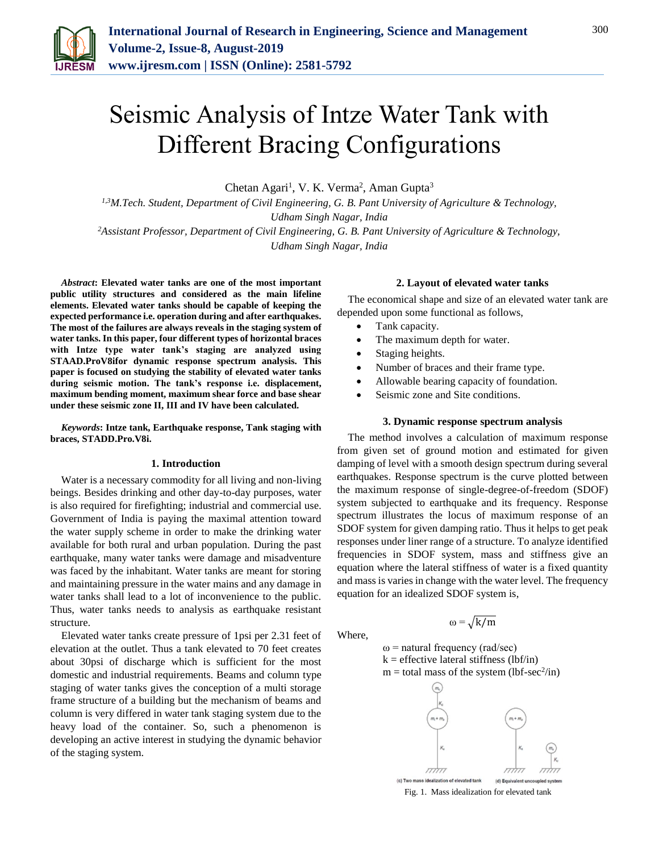

# Seismic Analysis of Intze Water Tank with Different Bracing Configurations

Chetan Agari<sup>1</sup>, V. K. Verma<sup>2</sup>, Aman Gupta<sup>3</sup>

*1,3M.Tech. Student, Department of Civil Engineering, G. B. Pant University of Agriculture & Technology, Udham Singh Nagar, India* 

*<sup>2</sup>Assistant Professor, Department of Civil Engineering, G. B. Pant University of Agriculture & Technology, Udham Singh Nagar, India* 

*Abstract***: Elevated water tanks are one of the most important public utility structures and considered as the main lifeline elements. Elevated water tanks should be capable of keeping the expected performance i.e. operation during and after earthquakes. The most of the failures are always reveals in the staging system of water tanks. In this paper, four different types of horizontal braces with Intze type water tank's staging are analyzed using STAAD.ProV8ifor dynamic response spectrum analysis. This paper is focused on studying the stability of elevated water tanks during seismic motion. The tank's response i.e. displacement, maximum bending moment, maximum shear force and base shear under these seismic zone II, III and IV have been calculated.**

*Keywords***: Intze tank, Earthquake response, Tank staging with braces, STADD.Pro.V8i.** 

## **1. Introduction**

Water is a necessary commodity for all living and non-living beings. Besides drinking and other day-to-day purposes, water is also required for firefighting; industrial and commercial use. Government of India is paying the maximal attention toward the water supply scheme in order to make the drinking water available for both rural and urban population. During the past earthquake, many water tanks were damage and misadventure was faced by the inhabitant. Water tanks are meant for storing and maintaining pressure in the water mains and any damage in water tanks shall lead to a lot of inconvenience to the public. Thus, water tanks needs to analysis as earthquake resistant structure.

Elevated water tanks create pressure of 1psi per 2.31 feet of elevation at the outlet. Thus a tank elevated to 70 feet creates about 30psi of discharge which is sufficient for the most domestic and industrial requirements. Beams and column type staging of water tanks gives the conception of a multi storage frame structure of a building but the mechanism of beams and column is very differed in water tank staging system due to the heavy load of the container. So, such a phenomenon is developing an active interest in studying the dynamic behavior of the staging system.

## **2. Layout of elevated water tanks**

The economical shape and size of an elevated water tank are depended upon some functional as follows,

- Tank capacity.
- The maximum depth for water.
- Staging heights.
- Number of braces and their frame type.
- Allowable bearing capacity of foundation.
- Seismic zone and Site conditions.

#### **3. Dynamic response spectrum analysis**

The method involves a calculation of maximum response from given set of ground motion and estimated for given damping of level with a smooth design spectrum during several earthquakes. Response spectrum is the curve plotted between the maximum response of single-degree-of-freedom (SDOF) system subjected to earthquake and its frequency. Response spectrum illustrates the locus of maximum response of an SDOF system for given damping ratio. Thus it helps to get peak responses under liner range of a structure. To analyze identified frequencies in SDOF system, mass and stiffness give an equation where the lateral stiffness of water is a fixed quantity and mass is varies in change with the water level. The frequency equation for an idealized SDOF system is,

Where,

 $\omega = \sqrt{k/m}$ 

 $ω$  = natural frequency (rad/sec)  $k =$  effective lateral stiffness (lbf/in)  $m =$  total mass of the system (lbf-sec<sup>2</sup>/in)



Fig. 1. Mass idealization for elevated tank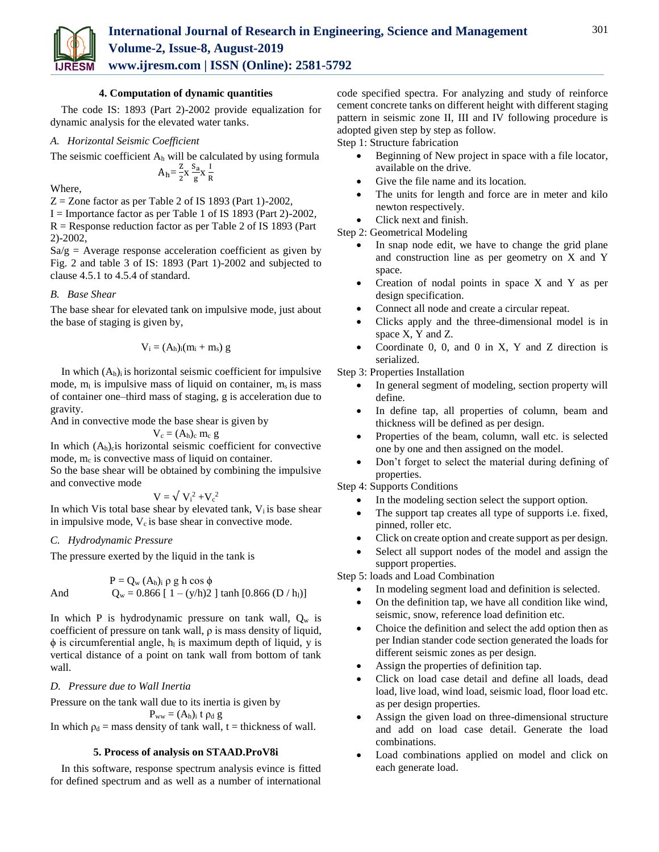

## **4. Computation of dynamic quantities**

The code IS: 1893 (Part 2)-2002 provide equalization for dynamic analysis for the elevated water tanks.

## *A. Horizontal Seismic Coefficient*

The seismic coefficient  $A_h$  will be calculated by using formula  $A_h = \frac{z}{2}$  $\frac{Z}{2}$ x  $\frac{S_a}{g}$  $\frac{S_a}{g} X \frac{I}{R}$ 

R

Where,

 $Z =$  Zone factor as per Table 2 of IS 1893 (Part 1)-2002,

I = Importance factor as per Table 1 of IS 1893 (Part 2)-2002,  $R =$ Response reduction factor as per Table 2 of IS 1893 (Part 2)-2002,

 $Sa/g = A$ verage response acceleration coefficient as given by Fig. 2 and table 3 of IS: 1893 (Part 1)-2002 and subjected to clause 4.5.1 to 4.5.4 of standard.

## *B. Base Shear*

The base shear for elevated tank on impulsive mode, just about the base of staging is given by,

$$
V_i = (A_h)_i (m_i + m_s)\ g
$$

In which  $(A_h)$  is horizontal seismic coefficient for impulsive mode,  $m_i$  is impulsive mass of liquid on container,  $m_s$  is mass of container one–third mass of staging, g is acceleration due to gravity.

And in convective mode the base shear is given by

$$
V_c = (A_h)_c \ m_c \ g
$$

In which  $(A_h)$ <sub>c</sub> is horizontal seismic coefficient for convective mode,  $m_c$  is convective mass of liquid on container.

So the base shear will be obtained by combining the impulsive and convective mode

$$
V = \sqrt{V_i^2 + V_c^2}
$$

In which Vis total base shear by elevated tank,  $V_i$  is base shear in impulsive mode,  $V_c$  is base shear in convective mode.

## *C. Hydrodynamic Pressure*

The pressure exerted by the liquid in the tank is

$$
P = Q_w (A_h)_i \rho g h \cos φ
$$
  
And 
$$
Q_w = 0.866 [1 - (y/h)2 ] \tanh [0.866 (D / h_l)]
$$

In which P is hydrodynamic pressure on tank wall,  $Q_w$  is coefficient of pressure on tank wall, ρ is mass density of liquid,  $\phi$  is circumferential angle,  $h<sub>l</sub>$  is maximum depth of liquid, y is vertical distance of a point on tank wall from bottom of tank wall.

## *D. Pressure due to Wall Inertia*

Pressure on the tank wall due to its inertia is given by

 $P_{ww} = (A_h)_i$  t  $\rho_d$  g

# In which  $p_d$  = mass density of tank wall, t = thickness of wall.

## **5. Process of analysis on STAAD.ProV8i**

In this software, response spectrum analysis evince is fitted for defined spectrum and as well as a number of international

code specified spectra. For analyzing and study of reinforce cement concrete tanks on different height with different staging pattern in seismic zone II, III and IV following procedure is adopted given step by step as follow.

Step 1: Structure fabrication

- Beginning of New project in space with a file locator, available on the drive.
- Give the file name and its location.
- The units for length and force are in meter and kilo newton respectively.
- Click next and finish.

Step 2: Geometrical Modeling

- In snap node edit, we have to change the grid plane and construction line as per geometry on X and Y space.
- Creation of nodal points in space X and Y as per design specification.
- Connect all node and create a circular repeat.
- Clicks apply and the three-dimensional model is in space X, Y and Z.
- Coordinate  $0$ ,  $0$ , and  $0$  in  $X$ ,  $Y$  and  $Z$  direction is serialized.

Step 3: Properties Installation

- In general segment of modeling, section property will define.
- In define tap, all properties of column, beam and thickness will be defined as per design.
- Properties of the beam, column, wall etc. is selected one by one and then assigned on the model.
- Don't forget to select the material during defining of properties.

Step 4: Supports Conditions

- In the modeling section select the support option.
- The support tap creates all type of supports i.e. fixed, pinned, roller etc.
- Click on create option and create support as per design.
- Select all support nodes of the model and assign the support properties.

Step 5: loads and Load Combination

- In modeling segment load and definition is selected.
- On the definition tap, we have all condition like wind, seismic, snow, reference load definition etc.
- Choice the definition and select the add option then as per Indian stander code section generated the loads for different seismic zones as per design.
- Assign the properties of definition tap.
- Click on load case detail and define all loads, dead load, live load, wind load, seismic load, floor load etc. as per design properties.
- Assign the given load on three-dimensional structure and add on load case detail. Generate the load combinations.
- Load combinations applied on model and click on each generate load.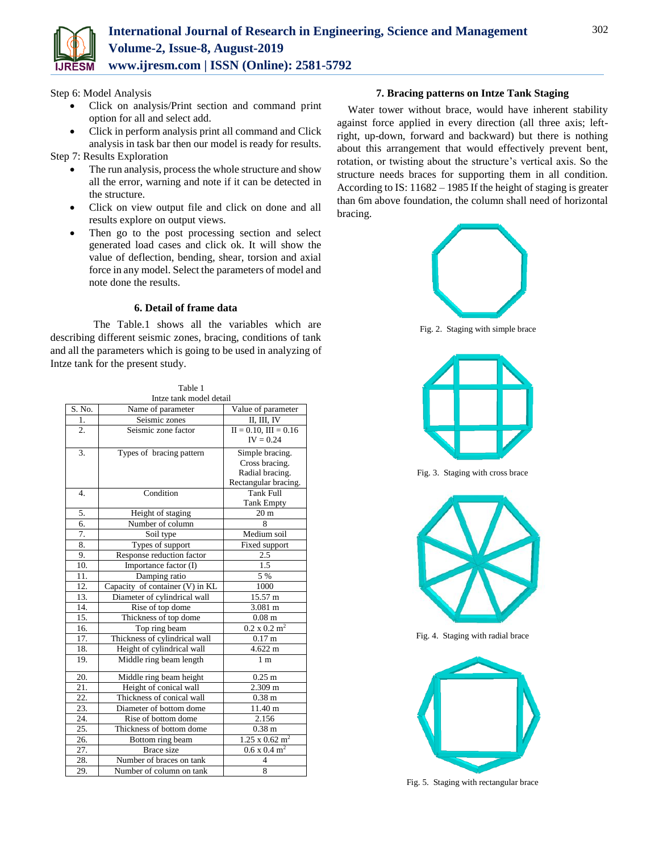

Step 6: Model Analysis

 Click on analysis/Print section and command print option for all and select add.

 Click in perform analysis print all command and Click analysis in task bar then our model is ready for results.

- Step 7: Results Exploration
	- The run analysis, process the whole structure and show all the error, warning and note if it can be detected in the structure.
	- Click on view output file and click on done and all results explore on output views.
	- Then go to the post processing section and select generated load cases and click ok. It will show the value of deflection, bending, shear, torsion and axial force in any model. Select the parameters of model and note done the results.

## **6. Detail of frame data**

 The Table.1 shows all the variables which are describing different seismic zones, bracing, conditions of tank and all the parameters which is going to be used in analyzing of Intze tank for the present study.

| Intze tank model detail |                                 |                                   |  |  |  |  |  |
|-------------------------|---------------------------------|-----------------------------------|--|--|--|--|--|
| S. No.                  | Name of parameter               | Value of parameter                |  |  |  |  |  |
| 1.                      | Seismic zones                   | II, III, IV                       |  |  |  |  |  |
| $\overline{2}$ .        | Seismic zone factor             | $II = 0.10$ , $III = 0.16$        |  |  |  |  |  |
|                         |                                 | $IV = 0.24$                       |  |  |  |  |  |
| 3.                      | Types of bracing pattern        | Simple bracing.                   |  |  |  |  |  |
|                         |                                 | Cross bracing.                    |  |  |  |  |  |
|                         |                                 | Radial bracing.                   |  |  |  |  |  |
|                         |                                 | Rectangular bracing.              |  |  |  |  |  |
| $\overline{4}$ .        | Condition                       | <b>Tank Full</b>                  |  |  |  |  |  |
|                         |                                 | <b>Tank Empty</b>                 |  |  |  |  |  |
| 5.                      | Height of staging               | 20 <sub>m</sub>                   |  |  |  |  |  |
| 6.                      | Number of column                | 8                                 |  |  |  |  |  |
| 7.                      | Soil type                       | Medium soil                       |  |  |  |  |  |
| 8.                      | Types of support                | Fixed support                     |  |  |  |  |  |
| 9.                      | Response reduction factor       | 2.5                               |  |  |  |  |  |
| 10.                     | Importance factor (I)           | 1.5                               |  |  |  |  |  |
| 11.                     | Damping ratio                   | 5 %                               |  |  |  |  |  |
| 12.                     | Capacity of container (V) in KL | 1000                              |  |  |  |  |  |
| $\overline{13}$ .       | Diameter of cylindrical wall    | 15.57 m                           |  |  |  |  |  |
| 14.                     | Rise of top dome                | 3.081 m                           |  |  |  |  |  |
| 15.                     | Thickness of top dome           | $0.08$ m                          |  |  |  |  |  |
| 16.                     | Top ring beam                   | $0.2 \times 0.2 \text{ m}^2$      |  |  |  |  |  |
| 17.                     | Thickness of cylindrical wall   | 0.17 <sub>m</sub>                 |  |  |  |  |  |
| 18.                     | Height of cylindrical wall      | $4.622 \text{ m}$                 |  |  |  |  |  |
| 19.                     | Middle ring beam length         | 1 <sub>m</sub>                    |  |  |  |  |  |
| 20.                     | Middle ring beam height         | $0.25$ m                          |  |  |  |  |  |
| 21.                     | Height of conical wall          | 2.309 m                           |  |  |  |  |  |
| 22.                     | Thickness of conical wall       | 0.38 <sub>m</sub>                 |  |  |  |  |  |
| 23.                     | Diameter of bottom dome         | 11.40 m                           |  |  |  |  |  |
| 24.                     | Rise of bottom dome             | 2.156                             |  |  |  |  |  |
| 25.                     | Thickness of bottom dome        | 0.38 <sub>m</sub>                 |  |  |  |  |  |
| 26.                     | Bottom ring beam                | $1.25 \times 0.62$ m <sup>2</sup> |  |  |  |  |  |
| 27.                     | <b>Brace</b> size               | $0.6 \times 0.4 \text{ m}^2$      |  |  |  |  |  |
| 28.                     | Number of braces on tank        | 4                                 |  |  |  |  |  |
| 29.                     | Number of column on tank        | 8                                 |  |  |  |  |  |

Table 1

## **7. Bracing patterns on Intze Tank Staging**

Water tower without brace, would have inherent stability against force applied in every direction (all three axis; leftright, up-down, forward and backward) but there is nothing about this arrangement that would effectively prevent bent, rotation, or twisting about the structure's vertical axis. So the structure needs braces for supporting them in all condition. According to IS: 11682 – 1985 If the height of staging is greater than 6m above foundation, the column shall need of horizontal bracing.



Fig. 2. Staging with simple brace



Fig. 3. Staging with cross brace



Fig. 4. Staging with radial brace



Fig. 5. Staging with rectangular brace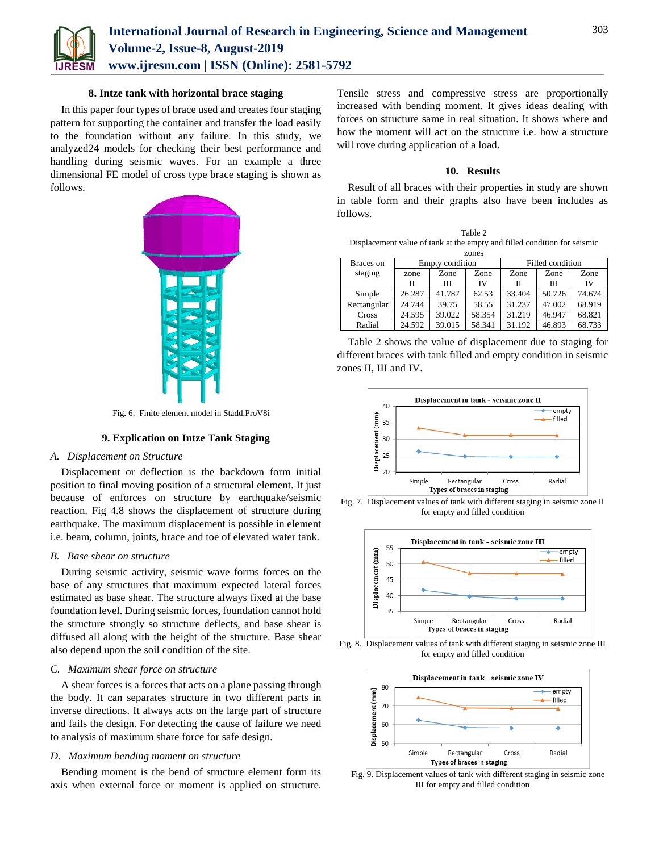

### **8. Intze tank with horizontal brace staging**

In this paper four types of brace used and creates four staging pattern for supporting the container and transfer the load easily to the foundation without any failure. In this study, we analyzed24 models for checking their best performance and handling during seismic waves. For an example a three dimensional FE model of cross type brace staging is shown as follows.



Fig. 6. Finite element model in Stadd.ProV8i

## **9. Explication on Intze Tank Staging**

#### *A. Displacement on Structure*

Displacement or deflection is the backdown form initial position to final moving position of a structural element. It just because of enforces on structure by earthquake/seismic reaction. Fig 4.8 shows the displacement of structure during earthquake. The maximum displacement is possible in element i.e. beam, column, joints, brace and toe of elevated water tank.

## *B. Base shear on structure*

During seismic activity, seismic wave forms forces on the base of any structures that maximum expected lateral forces estimated as base shear. The structure always fixed at the base foundation level. During seismic forces, foundation cannot hold the structure strongly so structure deflects, and base shear is diffused all along with the height of the structure. Base shear also depend upon the soil condition of the site.

## *C. Maximum shear force on structure*

A shear forces is a forces that acts on a plane passing through the body. It can separates structure in two different parts in inverse directions. It always acts on the large part of structure and fails the design. For detecting the cause of failure we need to analysis of maximum share force for safe design.

## *D. Maximum bending moment on structure*

Bending moment is the bend of structure element form its axis when external force or moment is applied on structure. Tensile stress and compressive stress are proportionally increased with bending moment. It gives ideas dealing with forces on structure same in real situation. It shows where and how the moment will act on the structure i.e. how a structure will rove during application of a load.

### **10. Results**

Result of all braces with their properties in study are shown in table form and their graphs also have been includes as follows.

| Table 2                                                                  |
|--------------------------------------------------------------------------|
| Displacement value of tank at the empty and filled condition for seismic |
| zones                                                                    |

| Braces on   |        | Empty condition |        | Filled condition |        |        |  |
|-------------|--------|-----------------|--------|------------------|--------|--------|--|
| staging     | zone   | Zone            | Zone   | Zone             | Zone   | Zone   |  |
|             | П      | Ш               | IV     | Н                | Ш      | IV     |  |
| Simple      | 26.287 | 41.787          | 62.53  | 33.404           | 50.726 | 74.674 |  |
| Rectangular | 24.744 | 39.75           | 58.55  | 31.237           | 47.002 | 68.919 |  |
| Cross       | 24.595 | 39.022          | 58.354 | 31.219           | 46.947 | 68.821 |  |
| Radial      | 24.592 | 39.015          | 58.341 | 31.192           | 46.893 | 68.733 |  |

Table 2 shows the value of displacement due to staging for different braces with tank filled and empty condition in seismic zones II, III and IV.



Fig. 7. Displacement values of tank with different staging in seismic zone II for empty and filled condition



Fig. 8. Displacement values of tank with different staging in seismic zone III for empty and filled condition



Fig. 9. Displacement values of tank with different staging in seismic zone III for empty and filled condition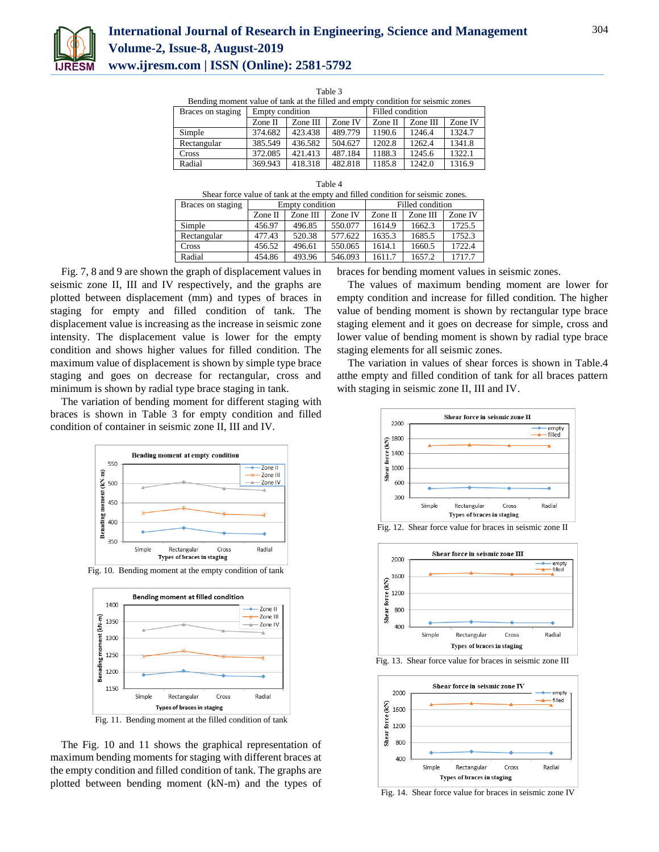

# **International Journal of Research in Engineering, Science and Management Volume-2, Issue-8, August-2019 www.ijresm.com | ISSN (Online): 2581-5792**

Table 3

| Bending moment value of tank at the filled and empty condition for seismic zones |                 |          |         |                  |          |         |  |
|----------------------------------------------------------------------------------|-----------------|----------|---------|------------------|----------|---------|--|
| Braces on staging                                                                | Empty condition |          |         | Filled condition |          |         |  |
|                                                                                  | Zone II         | Zone III | Zone IV | Zone II          | Zone III | Zone IV |  |
| Simple                                                                           | 374.682         | 423.438  | 489.779 | 1190.6           | 1246.4   | 1324.7  |  |
| Rectangular                                                                      | 385.549         | 436.582  | 504.627 | 1202.8           | 1262.4   | 1341.8  |  |
| Cross                                                                            | 372.085         | 421.413  | 487.184 | 1188.3           | 1245.6   | 1322.1  |  |
| Radial                                                                           | 369.943         | 418.318  | 482.818 | 1185.8           | 1242.0   | 1316.9  |  |

| Shear force value of tank at the empty and filled condition for seismic zones. |  |  |
|--------------------------------------------------------------------------------|--|--|
|                                                                                |  |  |

| Braces on staging | Empty condition |          |         | Filled condition |          |         |
|-------------------|-----------------|----------|---------|------------------|----------|---------|
|                   | Zone II         | Zone III | Zone IV | Zone II          | Zone III | Zone IV |
| Simple            | 456.97          | 496.85   | 550.077 | 1614.9           | 1662.3   | 1725.5  |
| Rectangular       | 477.43          | 520.38   | 577.622 | 1635.3           | 1685.5   | 1752.3  |
| Cross             | 456.52          | 496.61   | 550.065 | 1614.1           | 1660.5   | 1722.4  |
| Radial            | 454.86          | 493.96   | 546.093 | 1611.7           | 1657.2   | 1717.7  |

Fig. 7, 8 and 9 are shown the graph of displacement values in seismic zone II, III and IV respectively, and the graphs are plotted between displacement (mm) and types of braces in staging for empty and filled condition of tank. The displacement value is increasing as the increase in seismic zone intensity. The displacement value is lower for the empty condition and shows higher values for filled condition. The maximum value of displacement is shown by simple type brace staging and goes on decrease for rectangular, cross and minimum is shown by radial type brace staging in tank.

The variation of bending moment for different staging with braces is shown in Table 3 for empty condition and filled condition of container in seismic zone II, III and IV.



Fig. 10. Bending moment at the empty condition of tank



Fig. 11. Bending moment at the filled condition of tank

The Fig. 10 and 11 shows the graphical representation of maximum bending moments for staging with different braces at the empty condition and filled condition of tank. The graphs are plotted between bending moment (kN-m) and the types of

braces for bending moment values in seismic zones.

The values of maximum bending moment are lower for empty condition and increase for filled condition. The higher value of bending moment is shown by rectangular type brace staging element and it goes on decrease for simple, cross and lower value of bending moment is shown by radial type brace staging elements for all seismic zones.

The variation in values of shear forces is shown in Table.4 atthe empty and filled condition of tank for all braces pattern with staging in seismic zone II, III and IV.







Fig. 13. Shear force value for braces in seismic zone III



Fig. 14. Shear force value for braces in seismic zone IV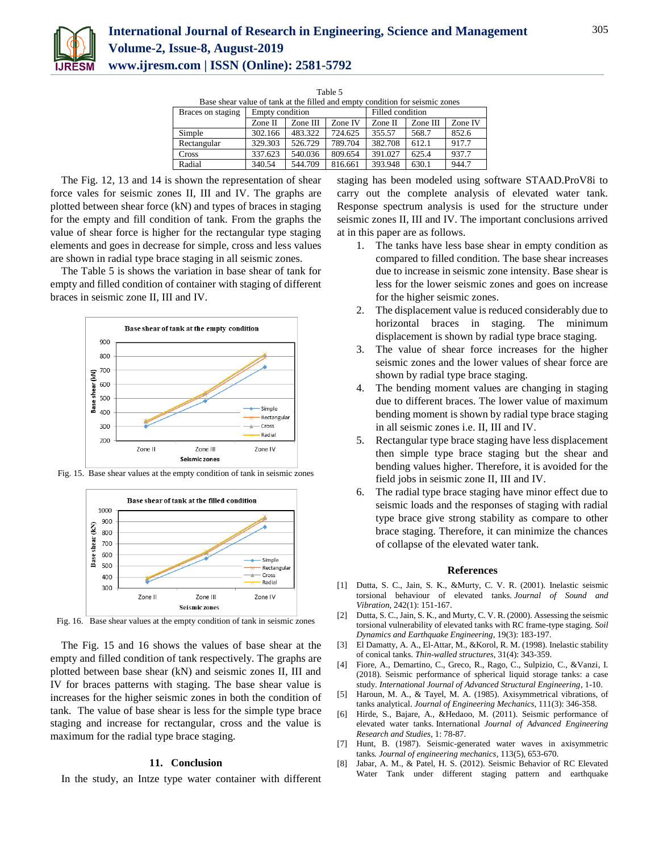

| Table 5                                                                      |          |         |                  |          |         |  |  |
|------------------------------------------------------------------------------|----------|---------|------------------|----------|---------|--|--|
| Base shear value of tank at the filled and empty condition for seismic zones |          |         |                  |          |         |  |  |
| Empty condition                                                              |          |         | Filled condition |          |         |  |  |
| Zone II                                                                      | Zone III | Zone IV | Zone II          | Zone III | Zone IV |  |  |
| 302.166                                                                      | 483.322  | 724.625 | 355.57           | 568.7    | 852.6   |  |  |
| 329.303                                                                      | 526.729  | 789.704 | 382.708          | 612.1    | 917.7   |  |  |
| 337.623                                                                      | 540.036  | 809.654 | 391.027          | 625.4    | 937.7   |  |  |
| 340.54                                                                       | 544.709  | 816.661 | 393.948          | 630.1    | 944.7   |  |  |
|                                                                              |          |         |                  |          |         |  |  |

The Fig. 12, 13 and 14 is shown the representation of shear force vales for seismic zones II, III and IV. The graphs are plotted between shear force (kN) and types of braces in staging for the empty and fill condition of tank. From the graphs the value of shear force is higher for the rectangular type staging elements and goes in decrease for simple, cross and less values are shown in radial type brace staging in all seismic zones.

The Table 5 is shows the variation in base shear of tank for empty and filled condition of container with staging of different braces in seismic zone II, III and IV.





Fig. 15. Base shear values at the empty condition of tank in seismic zones

Fig. 16. Base shear values at the empty condition of tank in seismic zones

The Fig. 15 and 16 shows the values of base shear at the empty and filled condition of tank respectively. The graphs are plotted between base shear (kN) and seismic zones II, III and IV for braces patterns with staging. The base shear value is increases for the higher seismic zones in both the condition of tank. The value of base shear is less for the simple type brace staging and increase for rectangular, cross and the value is maximum for the radial type brace staging.

## **11. Conclusion**

In the study, an Intze type water container with different

staging has been modeled using software STAAD.ProV8i to carry out the complete analysis of elevated water tank. Response spectrum analysis is used for the structure under seismic zones II, III and IV. The important conclusions arrived at in this paper are as follows.

- 1. The tanks have less base shear in empty condition as compared to filled condition. The base shear increases due to increase in seismic zone intensity. Base shear is less for the lower seismic zones and goes on increase for the higher seismic zones.
- 2. The displacement value is reduced considerably due to horizontal braces in staging. The minimum displacement is shown by radial type brace staging.
- 3. The value of shear force increases for the higher seismic zones and the lower values of shear force are shown by radial type brace staging.
- 4. The bending moment values are changing in staging due to different braces. The lower value of maximum bending moment is shown by radial type brace staging in all seismic zones i.e. II, III and IV.
- 5. Rectangular type brace staging have less displacement then simple type brace staging but the shear and bending values higher. Therefore, it is avoided for the field jobs in seismic zone II, III and IV.
- 6. The radial type brace staging have minor effect due to seismic loads and the responses of staging with radial type brace give strong stability as compare to other brace staging. Therefore, it can minimize the chances of collapse of the elevated water tank.

#### **References**

- [1] Dutta, S. C., Jain, S. K., &Murty, C. V. R. (2001). Inelastic seismic torsional behaviour of elevated tanks. *Journal of Sound and Vibration*, 242(1): 151-167.
- [2] Dutta, S. C., Jain, S. K., and Murty, C. V. R. (2000). Assessing the seismic torsional vulnerability of elevated tanks with RC frame-type staging. *Soil Dynamics and Earthquake Engineering*, 19(3): 183-197.
- [3] El Damatty, A. A., El-Attar, M., &Korol, R. M. (1998). Inelastic stability of conical tanks. *Thin-walled structures*, 31(4): 343-359.
- [4] Fiore, A., Demartino, C., Greco, R., Rago, C., Sulpizio, C., &Vanzi, I. (2018). Seismic performance of spherical liquid storage tanks: a case study. *International Journal of Advanced Structural Engineering*, 1-10.
- [5] Haroun, M. A., & Tayel, M. A. (1985). Axisymmetrical vibrations, of tanks analytical. *Journal of Engineering Mechanics*, 111(3): 346-358.
- [6] Hirde, S., Bajare, A., &Hedaoo, M. (2011). Seismic performance of elevated water tanks. International *Journal of Advanced Engineering Research and Studies*, 1: 78-87.
- [7] Hunt, B. (1987). Seismic-generated water waves in axisymmetric tanks*. Journal of engineering mechanics,* 113(5), 653-670.
- [8] Jabar, A. M., & Patel, H. S. (2012). Seismic Behavior of RC Elevated Water Tank under different staging pattern and earthquake